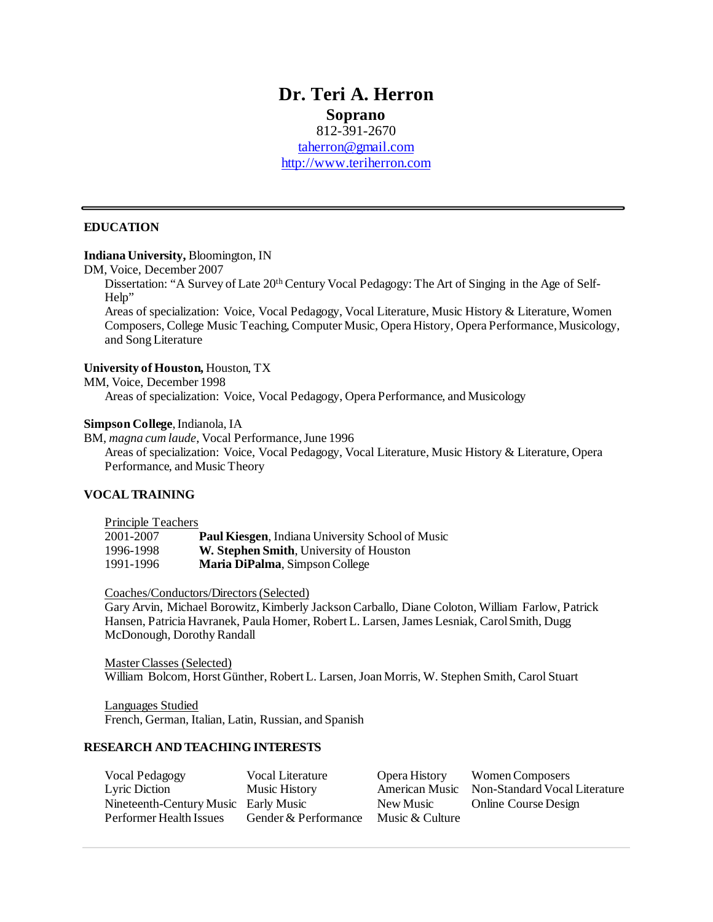# **Dr. Teri A. Herron Soprano**

812-391-2670

[taherron@gmail.com](mailto:taherron@gmail.com)

[http://www.teriherron.com](http://www.teriherron.com/)

### **EDUCATION**

#### **Indiana University,** Bloomington, IN

DM, Voice, December 2007

Dissertation: "A Survey of Late 20<sup>th</sup> Century Vocal Pedagogy: The Art of Singing in the Age of Self-Help"

Areas of specialization: Voice, Vocal Pedagogy, Vocal Literature, Music History & Literature, Women Composers, College Music Teaching, Computer Music, Opera History, Opera Performance, Musicology, and Song Literature

### **University of Houston,** Houston, TX

MM, Voice, December 1998

Areas of specialization: Voice, Vocal Pedagogy, Opera Performance, and Musicology

#### **Simpson College**, Indianola, IA

BM, *magna cum laude*, Vocal Performance, June 1996 Areas of specialization: Voice, Vocal Pedagogy, Vocal Literature, Music History & Literature, Opera Performance, and Music Theory

# **VOCAL TRAINING**

#### Principle Teachers

| 2001-2007 | Paul Kiesgen, Indiana University School of Music |
|-----------|--------------------------------------------------|
| 1996-1998 | W. Stephen Smith, University of Houston          |
| 1991-1996 | Maria DiPalma, Simpson College                   |

#### Coaches/Conductors/Directors(Selected)

Gary Arvin, Michael Borowitz, Kimberly Jackson Carballo, Diane Coloton, William Farlow, Patrick Hansen, Patricia Havranek, Paula Homer, Robert L. Larsen, James Lesniak, Carol Smith, Dugg McDonough, Dorothy Randall

Master Classes (Selected) William Bolcom, Horst Günther, Robert L. Larsen, Joan Morris, W. Stephen Smith, Carol Stuart

Languages Studied French, German, Italian, Latin, Russian, and Spanish

#### **RESEARCH AND TEACHING INTERESTS**

Vocal Pedagogy<br>
Vocal Literature Composers<br>
Lyric Diction Music History American Music Non-Standard Vocal Lyric Diction Music History American Music Non-Standard Vocal Literature Nineteenth-Century Music Early Music New Music Online Course Design Performer Health Issues Gender & Performance Music & Culture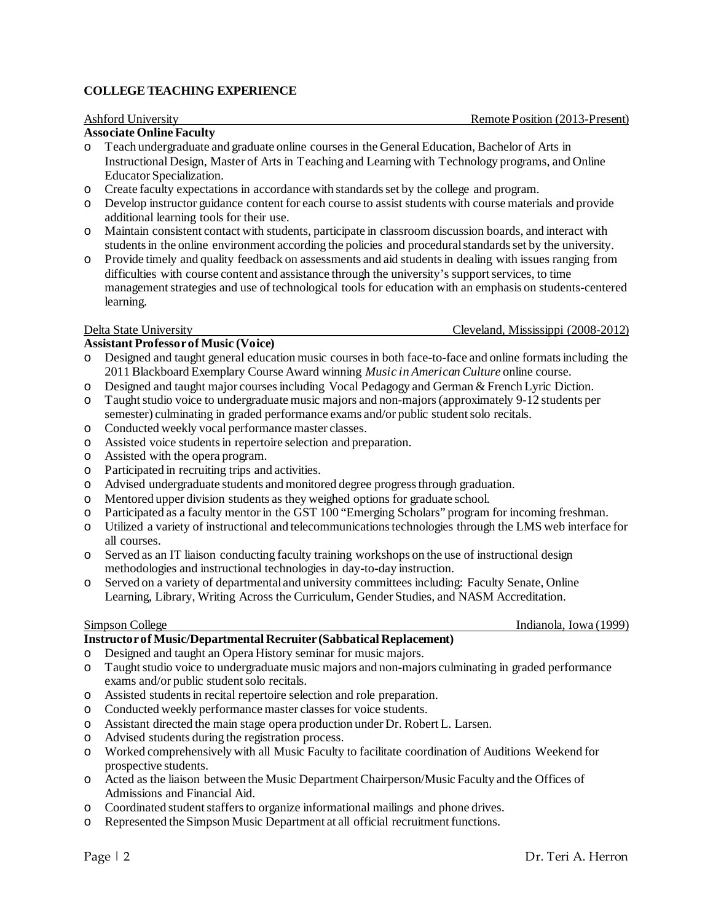# **COLLEGE TEACHING EXPERIENCE**

#### **Associate Online Faculty**

- o Teach undergraduate and graduate online courses in the General Education, Bachelor of Arts in Instructional Design, Master of Arts in Teaching and Learning with Technology programs, and Online Educator Specialization.
- o Create faculty expectations in accordance with standards set by the college and program.
- o Develop instructor guidance content for each course to assist students with course materials and provide additional learning tools for their use.
- o Maintain consistent contact with students, participate in classroom discussion boards, and interact with studentsin the online environment according the policies and procedural standards set by the university.
- o Provide timely and quality feedback on assessments and aid students in dealing with issues ranging from difficulties with course content and assistance through the university's support services, to time management strategies and use of technological tools for education with an emphasis on students-centered learning.

Delta State University Cleveland, Mississippi (2008-2012)

# **Assistant Professor of Music (Voice)**

- o Designed and taught general education music coursesin both face-to-face and online formatsincluding the 2011 Blackboard Exemplary Course Award winning *Music in American Culture* online course.
- o Designed and taught major courses including Vocal Pedagogy and German & French Lyric Diction.
- o Taught studio voice to undergraduate music majors and non-majors (approximately 9-12 students per semester) culminating in graded performance exams and/or public student solo recitals.
- o Conducted weekly vocal performance master classes.
- o Assisted voice students in repertoire selection and preparation.
- o Assisted with the opera program.
- o Participated in recruiting trips and activities.
- o Advised undergraduate students and monitored degree progress through graduation.
- o Mentored upper division students as they weighed options for graduate school.
- o Participated as a faculty mentor in the GST 100 "Emerging Scholars" program for incoming freshman.
- o Utilized a variety of instructional and telecommunications technologies through the LMS web interface for all courses.
- o Served as an IT liaison conducting faculty training workshops on the use of instructional design methodologies and instructional technologies in day-to-day instruction.
- o Served on a variety of departmental and university committees including: Faculty Senate, Online Learning, Library, Writing Across the Curriculum, Gender Studies, and NASM Accreditation.

#### Simpson College Indianola, Iowa (1999)

- **Instructor of Music/Departmental Recruiter (Sabbatical Replacement)** o Designed and taught an Opera History seminar for music majors.
- o Taught studio voice to undergraduate music majors and non-majors culminating in graded performance exams and/or public student solo recitals.
- o Assisted students in recital repertoire selection and role preparation.
- o Conducted weekly performance master classesfor voice students.
- o Assistant directed the main stage opera production under Dr. Robert L. Larsen.
- o Advised students during the registration process.
- o Worked comprehensively with all Music Faculty to facilitate coordination of Auditions Weekend for prospective students.
- o Acted as the liaison between the Music Department Chairperson/Music Faculty and the Offices of Admissions and Financial Aid.
- o Coordinated student staffers to organize informational mailings and phone drives.
- o Represented the Simpson Music Department at all official recruitment functions.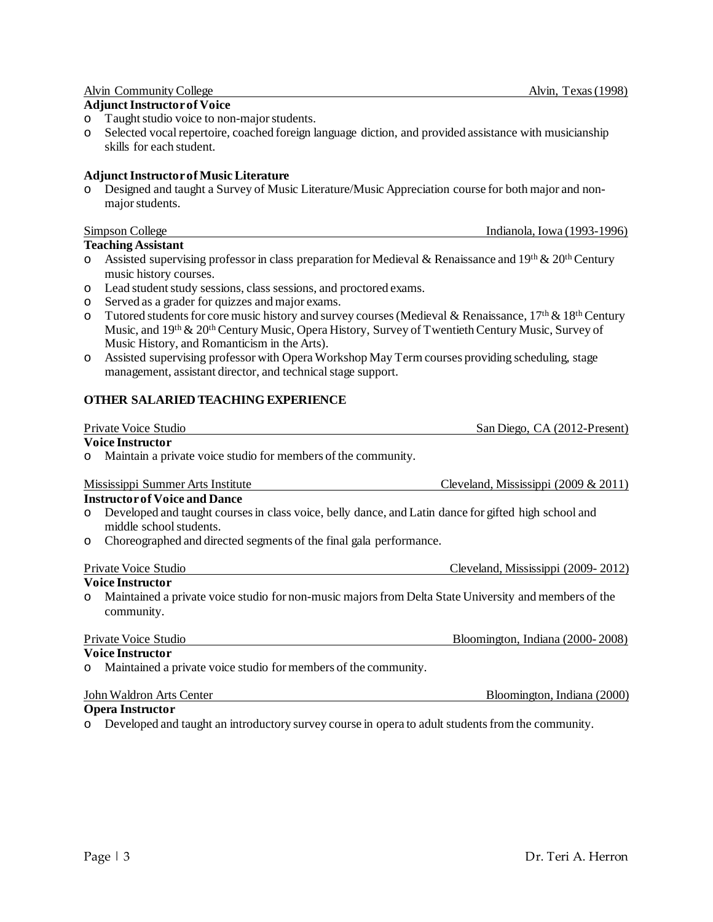Alvin Community College Alvin, Texas (1998)

### **AdjunctInstructor of Voice**

- Taught studio voice to non-major students.
- o Selected vocal repertoire, coached foreign language diction, and provided assistance with musicianship skills for each student.

# **Adjunct Instructor of Music Literature**

o Designed and taught a Survey of Music Literature/Music Appreciation course for both major and nonmajor students.

# Simpson College Indianola, Iowa (1993-1996)

- **Teaching Assistant**  $\circ$  Assisted supervising professor in class preparation for Medieval & Renaissance and 19th & 20th Century music history courses.
- o Lead student study sessions, class sessions, and proctored exams.
- o Served as a grader for quizzes and major exams.
- $\circ$  Tutored students for core music history and survey courses (Medieval & Renaissance, 17<sup>th</sup> & 18<sup>th</sup> Century Music, and 19<sup>th</sup> & 20<sup>th</sup> Century Music, Opera History, Survey of Twentieth Century Music, Survey of Music History, and Romanticism in the Arts).
- o Assisted supervising professor with Opera Workshop May Term courses providing scheduling, stage management, assistant director, and technical stage support.

# **OTHER SALARIED TEACHING EXPERIENCE**

- **Voice Instructor** o Maintain a private voice studio for members of the community. Mississippi Summer Arts Institute Cleveland, Mississippi (2009 & 2011) **Instructor of Voice and Dance** o Developed and taught courses in class voice, belly dance, and Latin dance for gifted high school and middle school students.
- o Choreographed and directed segments of the final gala performance.

# Private Voice Studio Cleveland, Mississippi (2009- 2012)

# **Voice Instructor**

o Maintained a private voice studio for non-music majors from Delta State University and members of the community.

#### **Voice Instructor**

o Maintained a private voice studio for members of the community.

#### John Waldron Arts Center Bloomington, Indiana (2000) **Opera Instructor**

o Developed and taught an introductory survey course in opera to adult students from the community.

Private Voice Studio San Diego, CA (2012-Present)

Private Voice Studio Bloomington, Indiana (2000-2008)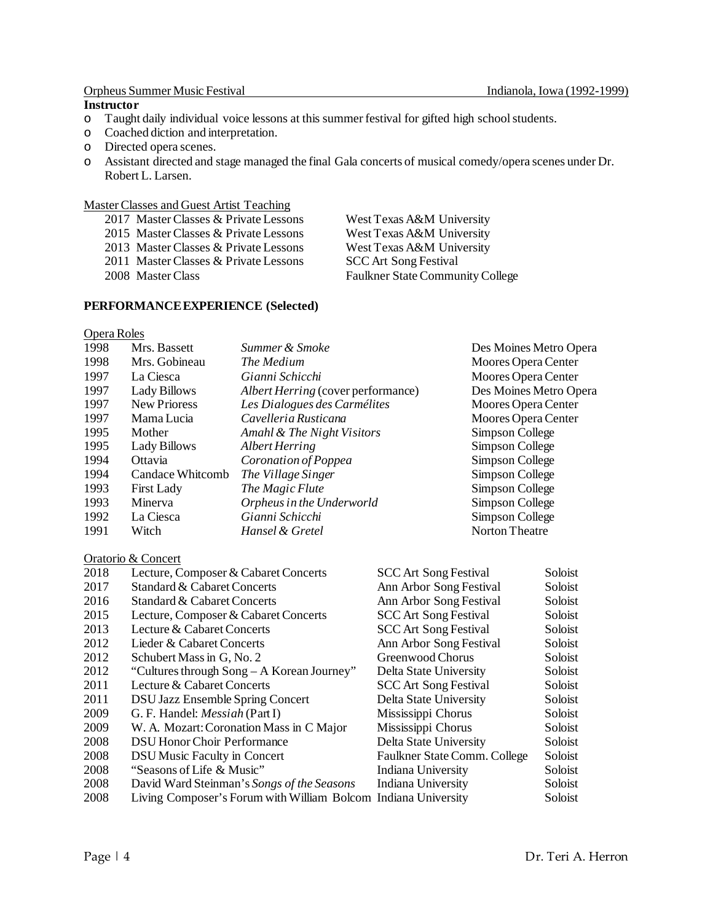# Orpheus Summer Music Festival Indianola, Iowa (1992-1999)

#### **Instructor**

- o Taught daily individual voice lessons at this summer festival for gifted high school students.
- o Coached diction and interpretation.
- o Directed opera scenes.
- o Assistant directed and stage managed the final Gala concerts of musical comedy/opera scenes under Dr. Robert L. Larsen.

#### Master Classes and Guest Artist Teaching

2017 Master Classes & Private Lessons<br>
2015 Master Classes & Private Lessons<br>
West Texas A&M University

2013 Master Classes & Private Lessons

2015 Master Classes & Private Lessons West Texas A&M University<br>2013 Master Classes & Private Lessons West Texas A&M University 2011 Master Classes & Private Lessons SCC Art Song Festival<br>2008 Master Class Faulkner State Community Faulkner State Community College

#### **PERFORMANCE EXPERIENCE (Selected)**

# Opera Roles

| 1998 | Mrs. Bassett      | Summer & Smoke                     | Des Moines Metro Opera |
|------|-------------------|------------------------------------|------------------------|
| 1998 | Mrs. Gobineau     | The Medium                         | Moores Opera Center    |
| 1997 | La Ciesca         | Gianni Schicchi                    | Moores Opera Center    |
| 1997 | Lady Billows      | Albert Herring (cover performance) | Des Moines Metro Opera |
| 1997 | New Prioress      | Les Dialogues des Carmélites       | Moores Opera Center    |
| 1997 | Mama Lucia        | Cavelleria Rusticana               | Moores Opera Center    |
| 1995 | Mother            | Amahl & The Night Visitors         | Simpson College        |
| 1995 | Lady Billows      | Albert Herring                     | Simpson College        |
| 1994 | Ottavia           | Coronation of Poppea               | Simpson College        |
| 1994 | Candace Whitcomb  | The Village Singer                 | Simpson College        |
| 1993 | <b>First Lady</b> | The Magic Flute                    | Simpson College        |
| 1993 | Minerva           | Orpheus in the Underworld          | Simpson College        |
| 1992 | La Ciesca         | Gianni Schicchi                    | Simpson College        |
| 1991 | Witch             | Hansel & Gretel                    | <b>Norton Theatre</b>  |
|      |                   |                                    |                        |

# Oratorio & Concert

| 2018 | Lecture, Composer & Cabaret Concerts                           | <b>SCC</b> Art Song Festival | Soloist |
|------|----------------------------------------------------------------|------------------------------|---------|
| 2017 | Standard & Cabaret Concerts                                    | Ann Arbor Song Festival      | Soloist |
| 2016 | Standard & Cabaret Concerts                                    | Ann Arbor Song Festival      | Soloist |
| 2015 | Lecture, Composer & Cabaret Concerts                           | <b>SCC</b> Art Song Festival | Soloist |
| 2013 | Lecture & Cabaret Concerts                                     | <b>SCC Art Song Festival</b> | Soloist |
| 2012 | Lieder & Cabaret Concerts                                      | Ann Arbor Song Festival      | Soloist |
| 2012 | Schubert Mass in G, No. 2                                      | Greenwood Chorus             | Soloist |
| 2012 | "Cultures through Song – A Korean Journey"                     | Delta State University       | Soloist |
| 2011 | Lecture & Cabaret Concerts                                     | <b>SCC</b> Art Song Festival | Soloist |
| 2011 | <b>DSU Jazz Ensemble Spring Concert</b>                        | Delta State University       | Soloist |
| 2009 | G. F. Handel: <i>Messiah</i> (Part I)                          | Mississippi Chorus           | Soloist |
| 2009 | W. A. Mozart: Coronation Mass in C Major                       | Mississippi Chorus           | Soloist |
| 2008 | <b>DSU Honor Choir Performance</b>                             | Delta State University       | Soloist |
| 2008 | <b>DSU Music Faculty in Concert</b>                            | Faulkner State Comm. College | Soloist |
| 2008 | "Seasons of Life & Music"                                      | Indiana University           | Soloist |
| 2008 | David Ward Steinman's Songs of the Seasons                     | Indiana University           | Soloist |
| 2008 | Living Composer's Forum with William Bolcom Indiana University |                              | Soloist |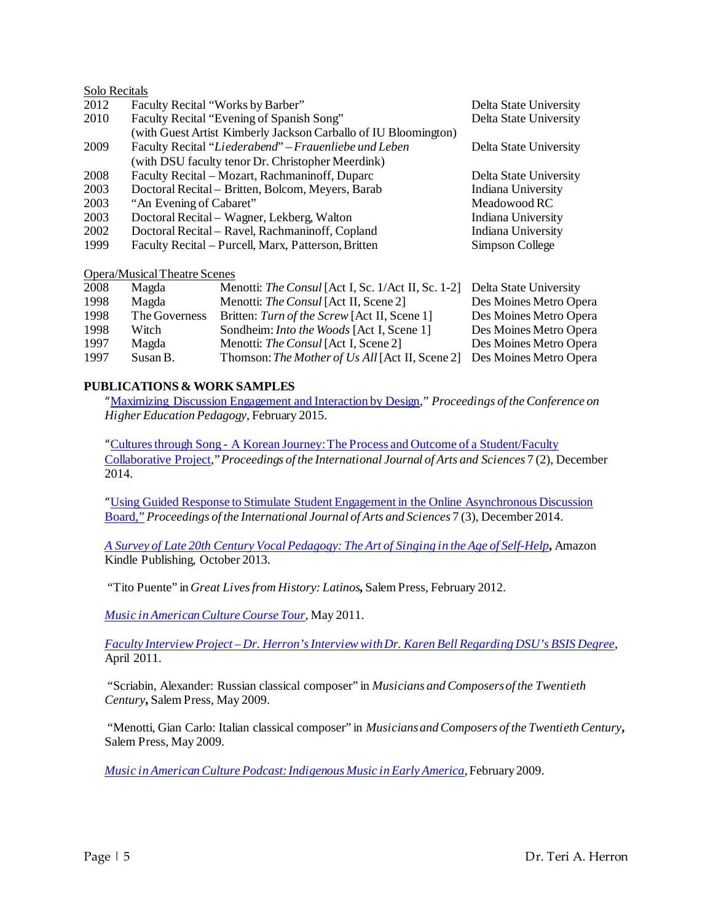### Solo Recitals

| 2012 |                                                     | Faculty Recital "Works by Barber"                               | Delta State University    |
|------|-----------------------------------------------------|-----------------------------------------------------------------|---------------------------|
| 2010 |                                                     | Faculty Recital "Evening of Spanish Song"                       | Delta State University    |
|      |                                                     | (with Guest Artist Kimberly Jackson Carballo of IU Bloomington) |                           |
| 2009 |                                                     | Faculty Recital "Liederabend" - Frauenliebe und Leben           | Delta State University    |
|      |                                                     | (with DSU faculty tenor Dr. Christopher Meerdink)               |                           |
| 2008 |                                                     | Faculty Recital - Mozart, Rachmaninoff, Duparc                  | Delta State University    |
| 2003 | Doctoral Recital - Britten, Bolcom, Meyers, Barab   |                                                                 | Indiana University        |
| 2003 | "An Evening of Cabaret"                             |                                                                 | Meadowood RC              |
| 2003 | Doctoral Recital – Wagner, Lekberg, Walton          |                                                                 | Indiana University        |
| 2002 | Doctoral Recital - Ravel, Rachmaninoff, Copland     |                                                                 | <b>Indiana University</b> |
| 1999 | Faculty Recital – Purcell, Marx, Patterson, Britten |                                                                 | Simpson College           |
|      | Opera/Musical Theatre Scenes                        |                                                                 |                           |
| 2008 | Magda                                               | Menotti: The Consul [Act I, Sc. 1/Act II, Sc. 1-2]              | Delta State University    |
| 1998 | Magda                                               | Menotti: The Consul [Act II, Scene 2]                           | Des Moines Metro Opera    |
| 1998 | The Governess                                       | Britten: Turn of the Screw [Act II, Scene 1]                    | Des Moines Metro Opera    |
| 1998 | Witch                                               | Sondheim: <i>Into the Woods</i> [Act I, Scene 1]                | Des Moines Metro Opera    |
| 1997 | Magda                                               | Menotti: The Consul [Act I, Scene 2]                            | Des Moines Metro Opera    |
| 1997 | Susan B.                                            | Thomson: The Mother of Us All [Act II, Scene 2]                 | Des Moines Metro Opera    |

#### **PUBLICATIONS & WORK SAMPLES**

"[Maximizing Discussion Engagement and Interaction by Design,](http://www.cider.vt.edu/conference/proceedings/2015ConferenceProceedings.pdf)" *Proceedings of the Conference on Higher Education Pedagogy*, February 2015.

"Cultures through Song - [A Korean Journey: The Process and Outcome of a Student/Faculty](http://media.wix.com/ugd/4ef0d4_2b2f15dc5d194f81b4f7fc5dfc4e49d5.pdf)  [Collaborative](http://media.wix.com/ugd/4ef0d4_2b2f15dc5d194f81b4f7fc5dfc4e49d5.pdf) Project,"*Proceedings of the International Journal of Arts and Sciences* 7 (2), December 2014.

"[Using Guided Response to Stimulate Student Engagement in the Online Asynchronous Discussion](http://www.universitypublications.net/ijas/0703/pdf/H4V646.pdf)  [Board,](http://www.universitypublications.net/ijas/0703/pdf/H4V646.pdf)" *Proceedings of the International Journal of Arts and Sciences* 7 (3), December 2014.

*[A Survey of Late 20th Century Vocal Pedagogy: The Art of Singing in the Age of Self-Help](http://www.amazon.com/Survey-Late-Century-Vocal-Pedagogy-ebook/dp/B00G2URQP4)***,** Amazon Kindle Publishing, October 2013.

"Tito Puente" in *Great Lives from History: Latinos***,** Salem Press, February 2012.

*[Music in American Culture Course Tour](http://youtu.be/8YQlrUgJYoE)*, May 2011.

*Faculty Interview Project – [Dr. Herron's Interview with Dr. Karen Bell Regarding DSU's BSIS Degree](http://youtu.be/vu2zddvOx4s)*, April 2011.

"Scriabin, Alexander: Russian classical composer" in *Musicians and Composers of the Twentieth Century***,** Salem Press, May 2009.

"Menotti, Gian Carlo: Italian classical composer" in *Musicians and Composers of the Twentieth Century***,** Salem Press, May 2009.

*[Music in American Culture Podcast: Indigenous Music in Early America](http://eln.deltastate.edu/wordpress/?p=54)*, February 2009.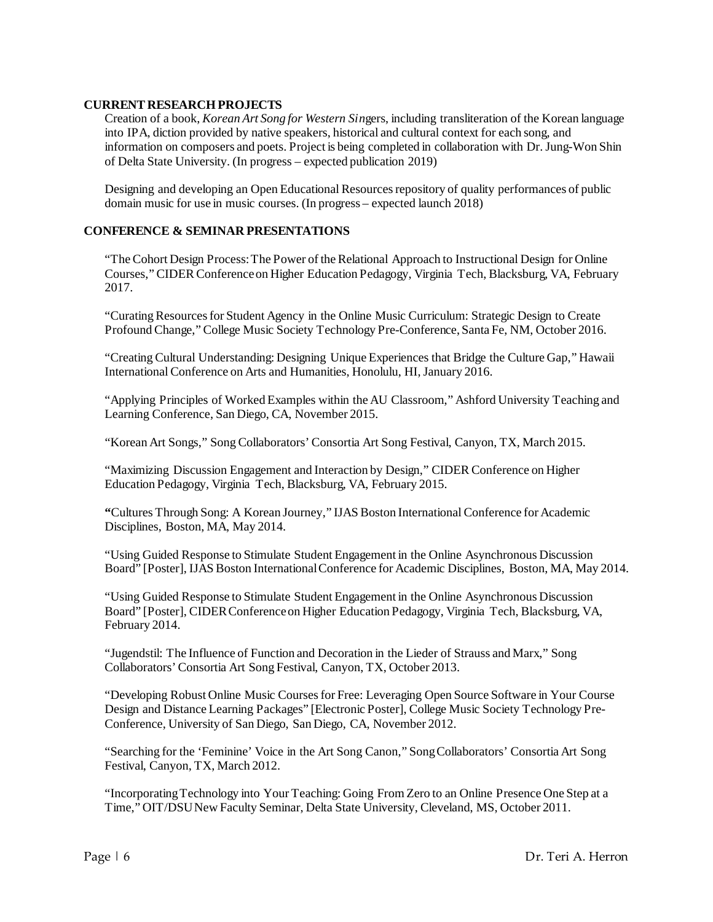### **CURRENT RESEARCH PROJECTS**

Creation of a book, *Korean Art Song for Western Sin*gers, including transliteration of the Korean language into IPA, diction provided by native speakers, historical and cultural context for each song, and information on composers and poets. Project is being completed in collaboration with Dr. Jung-Won Shin of Delta State University. (In progress – expected publication 2019)

Designing and developing an Open Educational Resources repository of quality performances of public domain music for use in music courses. (In progress – expected launch 2018)

# **CONFERENCE & SEMINAR PRESENTATIONS**

"The Cohort Design Process: The Power of the Relational Approach to Instructional Design for Online Courses," CIDER Conference on Higher Education Pedagogy, Virginia Tech, Blacksburg, VA, February 2017.

"Curating Resources for Student Agency in the Online Music Curriculum: Strategic Design to Create Profound Change," College Music Society Technology Pre-Conference, Santa Fe, NM, October 2016.

"Creating Cultural Understanding: Designing Unique Experiences that Bridge the Culture Gap," Hawaii International Conference on Arts and Humanities, Honolulu, HI, January 2016.

"Applying Principles of Worked Examples within the AU Classroom," Ashford University Teaching and Learning Conference, San Diego, CA, November 2015.

"Korean Art Songs," Song Collaborators' Consortia Art Song Festival, Canyon, TX, March 2015.

"Maximizing Discussion Engagement and Interaction by Design," CIDER Conference on Higher Education Pedagogy, Virginia Tech, Blacksburg, VA, February 2015.

**"**Cultures Through Song: A Korean Journey," IJAS Boston International Conference for Academic Disciplines, Boston, MA, May 2014.

"Using Guided Response to Stimulate Student Engagement in the Online Asynchronous Discussion Board" [Poster], IJAS Boston International Conference for Academic Disciplines, Boston, MA, May 2014.

"Using Guided Response to Stimulate Student Engagement in the Online Asynchronous Discussion Board" [Poster], CIDER Conference on Higher Education Pedagogy, Virginia Tech, Blacksburg, VA, February 2014.

"Jugendstil: The Influence of Function and Decoration in the Lieder of Strauss and Marx," Song Collaborators' Consortia Art Song Festival, Canyon, TX, October 2013.

"Developing Robust Online Music Courses for Free: Leveraging Open Source Software in Your Course Design and Distance Learning Packages" [Electronic Poster], College Music Society Technology Pre-Conference, University of San Diego, San Diego, CA, November 2012.

"Searching for the 'Feminine' Voice in the Art Song Canon," Song Collaborators' Consortia Art Song Festival, Canyon, TX, March 2012.

"Incorporating Technology into Your Teaching: Going From Zero to an Online Presence One Step at a Time," OIT/DSU New Faculty Seminar, Delta State University, Cleveland, MS, October 2011.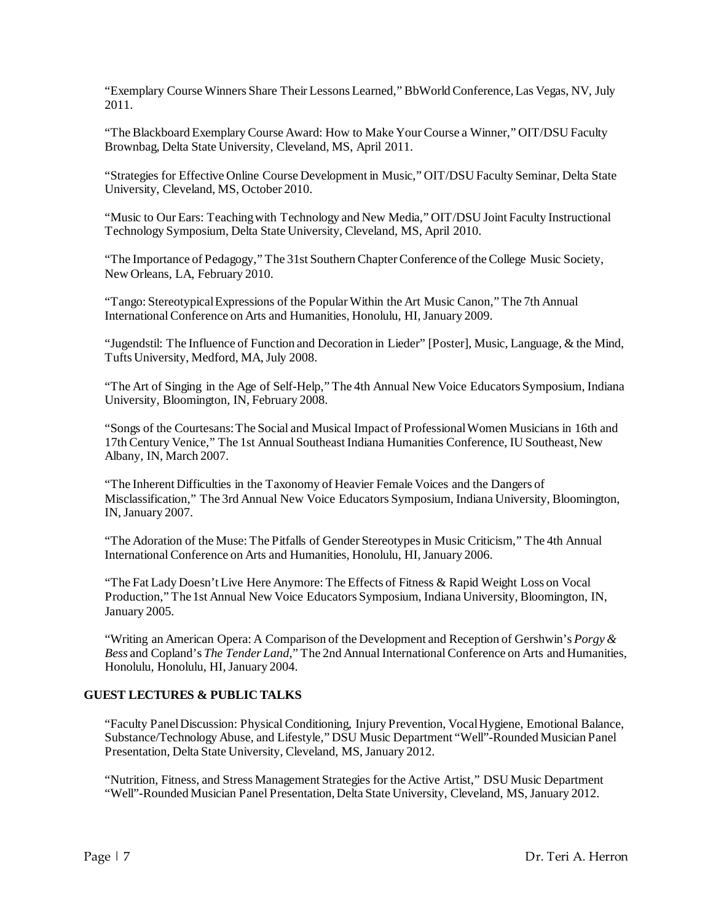"Exemplary Course Winners Share Their Lessons Learned," BbWorld Conference, Las Vegas, NV, July 2011.

"The Blackboard Exemplary Course Award: How to Make Your Course a Winner," OIT/DSU Faculty Brownbag, Delta State University, Cleveland, MS, April 2011.

"Strategies for Effective Online Course Development in Music," OIT/DSU Faculty Seminar, Delta State University, Cleveland, MS, October 2010.

"Music to Our Ears: Teaching with Technology and New Media," OIT/DSU Joint Faculty Instructional Technology Symposium, Delta State University, Cleveland, MS, April 2010.

"The Importance of Pedagogy," The 31st Southern Chapter Conference of the College Music Society, New Orleans, LA, February 2010.

"Tango: Stereotypical Expressions of the Popular Within the Art Music Canon," The 7th Annual International Conference on Arts and Humanities, Honolulu, HI, January 2009.

"Jugendstil: The Influence of Function and Decoration in Lieder" [Poster], Music, Language, & the Mind, Tufts University, Medford, MA, July 2008.

"The Art of Singing in the Age of Self-Help," The 4th Annual New Voice Educators Symposium, Indiana University, Bloomington, IN, February 2008.

"Songs of the Courtesans: The Social and Musical Impact of Professional Women Musicians in 16th and 17th Century Venice," The 1st Annual Southeast Indiana Humanities Conference, IU Southeast, New Albany, IN, March 2007.

"The Inherent Difficulties in the Taxonomy of Heavier Female Voices and the Dangers of Misclassification," The 3rd Annual New Voice Educators Symposium, Indiana University, Bloomington, IN, January 2007.

"The Adoration of the Muse: The Pitfalls of Gender Stereotypes in Music Criticism," The 4th Annual International Conference on Arts and Humanities, Honolulu, HI, January 2006.

"The Fat Lady Doesn't Live Here Anymore: The Effects of Fitness & Rapid Weight Loss on Vocal Production," The 1st Annual New Voice Educators Symposium, Indiana University, Bloomington, IN, January 2005.

"Writing an American Opera: A Comparison of the Development and Reception of Gershwin's *Porgy & Bess* and Copland's *The Tender Land*," The 2nd Annual International Conference on Arts and Humanities, Honolulu, Honolulu, HI, January 2004.

# **GUEST LECTURES & PUBLIC TALKS**

"Faculty Panel Discussion: Physical Conditioning, Injury Prevention, Vocal Hygiene, Emotional Balance, Substance/Technology Abuse, and Lifestyle," DSU Music Department "Well"-Rounded Musician Panel Presentation, Delta State University, Cleveland, MS, January 2012.

"Nutrition, Fitness, and Stress Management Strategies for the Active Artist," DSU Music Department "Well"-Rounded Musician Panel Presentation, Delta State University, Cleveland, MS, January 2012.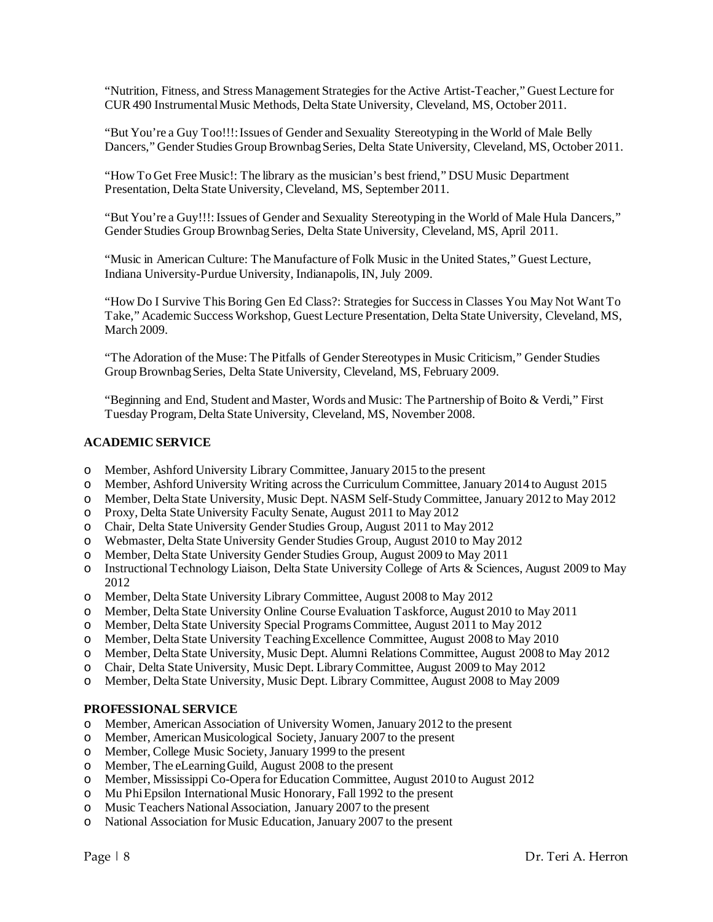"Nutrition, Fitness, and Stress Management Strategies for the Active Artist-Teacher," Guest Lecture for CUR 490 Instrumental Music Methods, Delta State University, Cleveland, MS, October 2011.

"But You're a Guy Too!!!: Issues of Gender and Sexuality Stereotyping in the World of Male Belly Dancers," Gender Studies Group Brownbag Series, Delta State University, Cleveland, MS, October 2011.

"How To Get Free Music!: The library as the musician's best friend," DSU Music Department Presentation, Delta State University, Cleveland, MS, September 2011.

"But You're a Guy!!!: Issues of Gender and Sexuality Stereotyping in the World of Male Hula Dancers," Gender Studies Group Brownbag Series, Delta State University, Cleveland, MS, April 2011.

"Music in American Culture: The Manufacture of Folk Music in the United States," Guest Lecture, Indiana University-Purdue University, Indianapolis, IN, July 2009.

"How Do I Survive This Boring Gen Ed Class?: Strategies for Success in Classes You May Not Want To Take," Academic Success Workshop, Guest Lecture Presentation, Delta State University, Cleveland, MS, March 2009.

"The Adoration of the Muse: The Pitfalls of Gender Stereotypes in Music Criticism," Gender Studies Group Brownbag Series, Delta State University, Cleveland, MS, February 2009.

"Beginning and End, Student and Master, Words and Music: The Partnership of Boito & Verdi," First Tuesday Program, Delta State University, Cleveland, MS, November 2008.

# **ACADEMIC SERVICE**

- o Member, Ashford University Library Committee, January 2015 to the present
- o Member, Ashford University Writing acrossthe Curriculum Committee, January 2014 to August 2015
- o Member, Delta State University, Music Dept. NASM Self-Study Committee, January 2012 to May 2012
- o Proxy, Delta State University Faculty Senate, August 2011 to May 2012
- o Chair, Delta State University Gender Studies Group, August 2011 to May 2012
- o Webmaster, Delta State University Gender Studies Group, August 2010 to May 2012
- 
- o Member, Delta State University Gender Studies Group, August 2009 to May 2011 Instructional Technology Liaison, Delta State University College of Arts & Sciences, August 2009 to May 2012
- o Member, Delta State University Library Committee, August 2008 to May 2012
- o Member, Delta State University Online Course Evaluation Taskforce, August 2010 to May 2011
- o Member, Delta State University Special Programs Committee, August 2011 to May 2012
- o Member, Delta State University Teaching Excellence Committee, August 2008 to May 2010
- o Member, Delta State University, Music Dept. Alumni Relations Committee, August 2008 to May 2012
- o Chair, Delta State University, Music Dept. Library Committee, August 2009 to May 2012
- o Member, Delta State University, Music Dept. Library Committee, August 2008 to May 2009

#### **PROFESSIONAL SERVICE**

- o Member, American Association of University Women, January 2012 to the present
- o Member, American Musicological Society, January 2007 to the present
- o Member, College Music Society, January 1999 to the present
- o Member, The eLearning Guild, August 2008 to the present
- o Member, Mississippi Co-Opera for Education Committee, August 2010 to August 2012
- o Mu Phi Epsilon International Music Honorary, Fall 1992 to the present
- o Music Teachers National Association, January 2007 to the present
- o National Association for Music Education, January 2007 to the present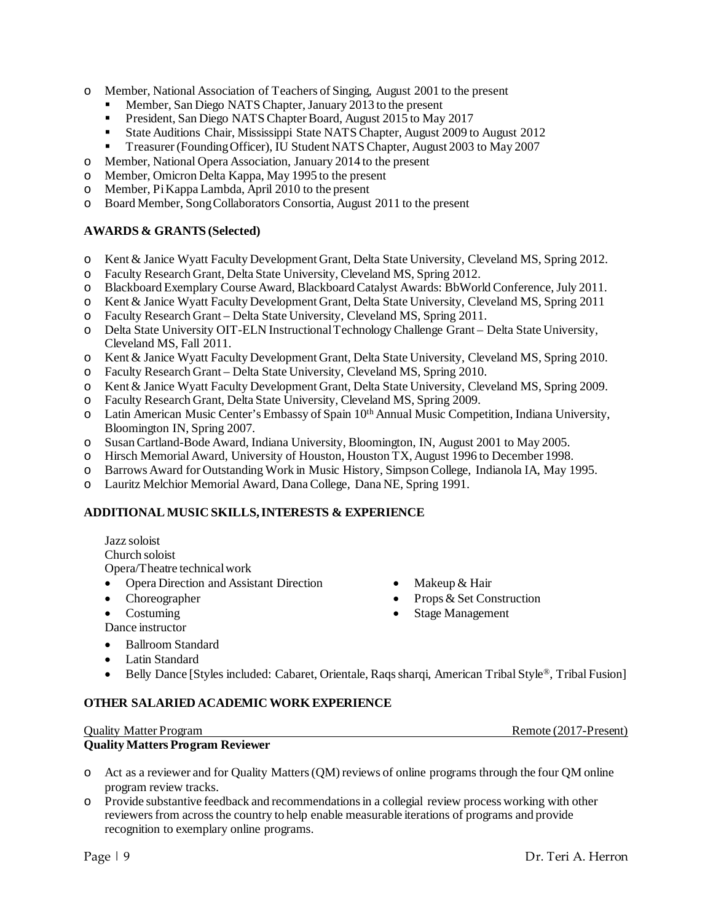- o Member, National Association of Teachers of Singing, August 2001 to the present
	- Member, San Diego NATS Chapter, January 2013 to the present
	- **President, San Diego NATS Chapter Board, August 2015 to May 2017**
	- State Auditions Chair, Mississippi State NATS Chapter, August 2009 to August 2012<br>Treasurer (Founding Officer), IU Student NATS Chapter, August 2003 to May 2007
	- Treasurer (Founding Officer), IU Student NATS Chapter, August 2003 to May 2007
- o Member, National Opera Association, January 2014 to the present
- o Member, Omicron Delta Kappa, May 1995 to the present
- o Member, Pi Kappa Lambda, April 2010 to the present
- o Board Member, Song Collaborators Consortia, August 2011 to the present

# **AWARDS & GRANTS (Selected)**

- o Kent & Janice Wyatt Faculty Development Grant, Delta State University, Cleveland MS, Spring 2012.
- o Faculty Research Grant, Delta State University, Cleveland MS, Spring 2012.
- o Blackboard Exemplary Course Award, Blackboard Catalyst Awards: BbWorld Conference, July 2011.
- Kent & Janice Wyatt Faculty Development Grant, Delta State University, Cleveland MS, Spring 2011
- o Faculty Research Grant Delta State University, Cleveland MS, Spring 2011.
- o Delta State University OIT-ELN Instructional Technology Challenge Grant Delta State University, Cleveland MS, Fall 2011.
- o Kent & Janice Wyatt Faculty Development Grant, Delta State University, Cleveland MS, Spring 2010.
- Faculty Research Grant Delta State University, Cleveland MS, Spring 2010.
- o Kent & Janice Wyatt Faculty Development Grant, Delta State University, Cleveland MS, Spring 2009.
- o Faculty Research Grant, Delta State University, Cleveland MS, Spring 2009.
- o Latin American Music Center's Embassy of Spain 10th Annual Music Competition, Indiana University, Bloomington IN, Spring 2007.
- o Susan Cartland-Bode Award, Indiana University, Bloomington, IN, August 2001 to May 2005.
- o Hirsch Memorial Award, University of Houston, Houston TX, August 1996 to December 1998.
- o Barrows Award for Outstanding Work in Music History, Simpson College, Indianola IA, May 1995.
- o Lauritz Melchior Memorial Award, Dana College, Dana NE, Spring 1991.

# **ADDITIONAL MUSIC SKILLS, INTERESTS & EXPERIENCE**

Jazz soloist Church soloist Opera/Theatre technical work

- Opera Direction and Assistant Direction
- Choreographer
- Costuming

Dance instructor

- Ballroom Standard
- Latin Standard
- Belly Dance [Styles included: Cabaret, Orientale, Raqs sharqi, American Tribal Style®, Tribal Fusion]

• Makeup & Hair

• Props & Set Construction Stage Management

# **OTHER SALARIED ACADEMIC WORK EXPERIENCE**

| <b>Quality Matter Program</b>           | Remote (2017-Present) |
|-----------------------------------------|-----------------------|
| <b>Quality Matters Program Reviewer</b> |                       |

- o Act as a reviewer and for Quality Matters (QM) reviews of online programs through the four QM online program review tracks.
- o Provide substantive feedback and recommendations in a collegial review process working with other reviewers from across the country to help enable measurable iterations of programs and provide recognition to exemplary online programs.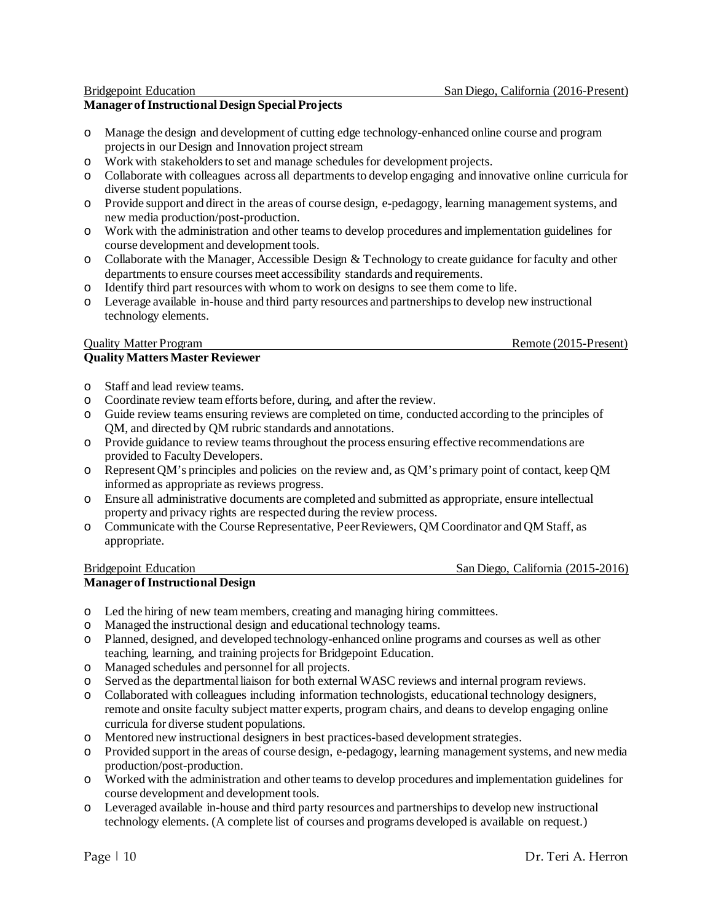# **Manager of Instructional Design Special Projects**

- o Manage the design and development of cutting edge technology-enhanced online course and program projects in our Design and Innovation project stream
- o Work with stakeholders to set and manage schedules for development projects.
- o Collaborate with colleagues across all departmentsto develop engaging and innovative online curricula for diverse student populations.
- o Provide support and direct in the areas of course design, e-pedagogy, learning management systems, and new media production/post-production.
- o Work with the administration and other teams to develop procedures and implementation guidelines for course development and development tools.
- o Collaborate with the Manager, Accessible Design & Technology to create guidance for faculty and other departments to ensure courses meet accessibility standards and requirements.
- o Identify third part resources with whom to work on designs to see them come to life.
- o Leverage available in-house and third party resources and partnerships to develop new instructional technology elements.

#### Quality Matter Program Remote (2015-Present) **Quality Matters Master Reviewer**

- o Staff and lead review teams.
- o Coordinate review team efforts before, during, and after the review.
- o Guide review teams ensuring reviews are completed on time, conducted according to the principles of QM, and directed by QM rubric standards and annotations.
- o Provide guidance to review teams throughout the process ensuring effective recommendations are provided to Faculty Developers.
- o Represent QM's principles and policies on the review and, as QM's primary point of contact, keep QM informed as appropriate as reviews progress.
- o Ensure all administrative documents are completed and submitted as appropriate, ensure intellectual property and privacy rights are respected during the review process.
- o Communicate with the Course Representative, Peer Reviewers, QM Coordinator and QM Staff, as appropriate.

| <b>Bridgepoint Education</b>           | San Diego, California (2015-2016) |
|----------------------------------------|-----------------------------------|
| <b>Manager of Instructional Design</b> |                                   |

- o Led the hiring of new team members, creating and managing hiring committees.
- o Managed the instructional design and educational technology teams.
- o Planned, designed, and developed technology-enhanced online programs and courses as well as other teaching, learning, and training projects for Bridgepoint Education.
- o Managed schedules and personnel for all projects.
- o Served as the departmental liaison for both external WASC reviews and internal program reviews.
- o Collaborated with colleagues including information technologists, educational technology designers, remote and onsite faculty subject matter experts, program chairs, and deans to develop engaging online curricula for diverse student populations.
- o Mentored new instructional designers in best practices-based development strategies.
- o Provided support in the areas of course design, e-pedagogy, learning management systems, and new media production/post-production.
- o Worked with the administration and other teams to develop procedures and implementation guidelines for course development and development tools.
- o Leveraged available in-house and third party resources and partnerships to develop new instructional technology elements. (A complete list of courses and programs developed is available on request.)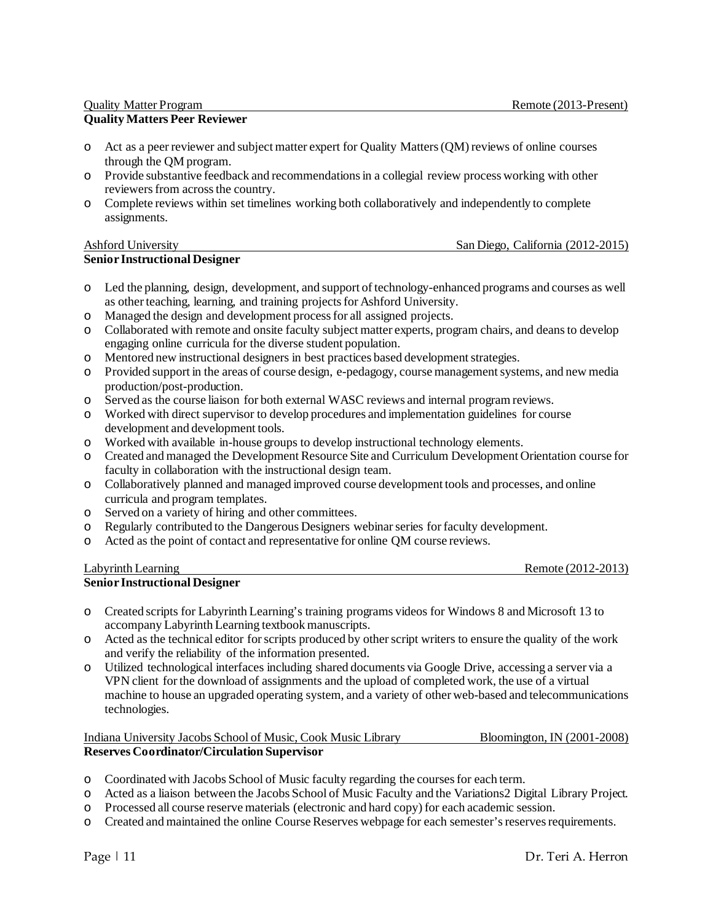# Quality Matter Program Remote (2013-Present) **Quality Matters Peer Reviewer**

- o Act as a peer reviewer and subject matter expert for Quality Matters (QM) reviews of online courses through the QM program.
- o Provide substantive feedback and recommendations in a collegial review process working with other reviewers from across the country.
- o Complete reviews within set timelines working both collaboratively and independently to complete assignments.

# Ashford University San Diego, California (2012-2015)

# **Senior Instructional Designer**

- o Led the planning, design, development, and support of technology-enhanced programs and courses as well as other teaching, learning, and training projects for Ashford University.
- o Managed the design and development process for all assigned projects.
- o Collaborated with remote and onsite faculty subject matter experts, program chairs, and deansto develop engaging online curricula for the diverse student population.
- o Mentored new instructional designers in best practices based development strategies.
- o Provided support in the areas of course design, e-pedagogy, course management systems, and new media production/post-production.
- o Served as the course liaison for both external WASC reviews and internal program reviews.
- o Worked with direct supervisor to develop procedures and implementation guidelines for course development and development tools.
- o Worked with available in-house groups to develop instructional technology elements.
- o Created and managed the Development Resource Site and Curriculum Development Orientation course for faculty in collaboration with the instructional design team.
- o Collaboratively planned and managed improved course development tools and processes, and online curricula and program templates.
- o Served on a variety of hiring and other committees.
- o Regularly contributed to the Dangerous Designers webinar series for faculty development.
- o Acted as the point of contact and representative for online QM course reviews.

# Labyrinth Learning Remote (2012-2013)

# **Senior Instructional Designer**

- o Created scripts for Labyrinth Learning's training programs videos for Windows 8 and Microsoft 13 to accompany Labyrinth Learning textbook manuscripts.
- o Acted as the technical editor for scripts produced by other script writers to ensure the quality of the work and verify the reliability of the information presented.
- o Utilized technological interfaces including shared documents via Google Drive, accessing a server via a VPN client for the download of assignments and the upload of completed work, the use of a virtual machine to house an upgraded operating system, and a variety of other web-based and telecommunications technologies.

# Indiana University Jacobs School of Music, Cook Music Library Bloomington, IN (2001-2008) **Reserves Coordinator/Circulation Supervisor**

- o Coordinated with Jacobs School of Music faculty regarding the courses for each term.
- o Acted as a liaison between the Jacobs School of Music Faculty and the Variations2 Digital Library Project.
- o Processed all course reserve materials (electronic and hard copy) for each academic session.
- o Created and maintained the online Course Reserves webpage for each semester's reserves requirements.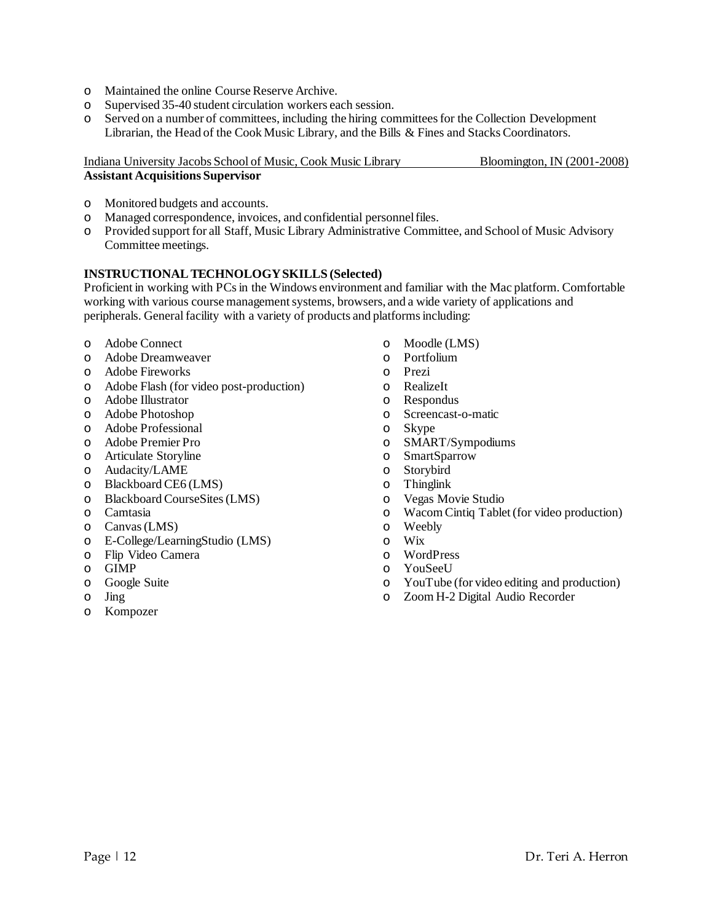- o Maintained the online Course Reserve Archive.
- o Supervised 35-40 student circulation workers each session.
- o Served on a number of committees, including the hiring committees for the Collection Development Librarian, the Head of the Cook Music Library, and the Bills & Fines and Stacks Coordinators.

### Indiana University Jacobs School of Music, Cook Music Library Bloomington, IN (2001-2008) **Assistant Acquisitions Supervisor**

- o Monitored budgets and accounts.
- o Managed correspondence, invoices, and confidential personnel files.
- o Provided support for all Staff, Music Library Administrative Committee, and School of Music Advisory Committee meetings.

# **INSTRUCTIONAL TECHNOLOGY SKILLS (Selected)**

Proficient in working with PCs in the Windows environment and familiar with the Mac platform. Comfortable working with various course management systems, browsers, and a wide variety of applications and peripherals. General facility with a variety of products and platformsincluding:

- o Adobe Connect
- Adobe Dreamweaver
- o Adobe Fireworks
- o Adobe Flash (for video post-production)
- o Adobe Illustrator
- o Adobe Photoshop
- o Adobe Professional
- o Adobe Premier Pro
- o Articulate Storyline
- o Audacity/LAME
- o Blackboard CE6 (LMS)
- o Blackboard CourseSites(LMS)
- o Camtasia
- o Canvas (LMS)
- o E-College/LearningStudio (LMS)
- o Flip Video Camera
- **GIMP**
- o Google Suite
- o Jing
- o Kompozer
- o Moodle (LMS)
- o Portfolium
- Prezi
- o RealizeIt
- o Respondus
- Screencast-o-matic
- o Skype
- o SMART/Sympodiums
- o SmartSparrow
- o Storybird
- o Thinglink
- o Vegas Movie Studio
- o Wacom Cintiq Tablet (for video production)
- o Weebly
- o Wix
- o WordPress
- YouSeeU
- o YouTube (for video editing and production)
- o Zoom H-2 Digital Audio Recorder